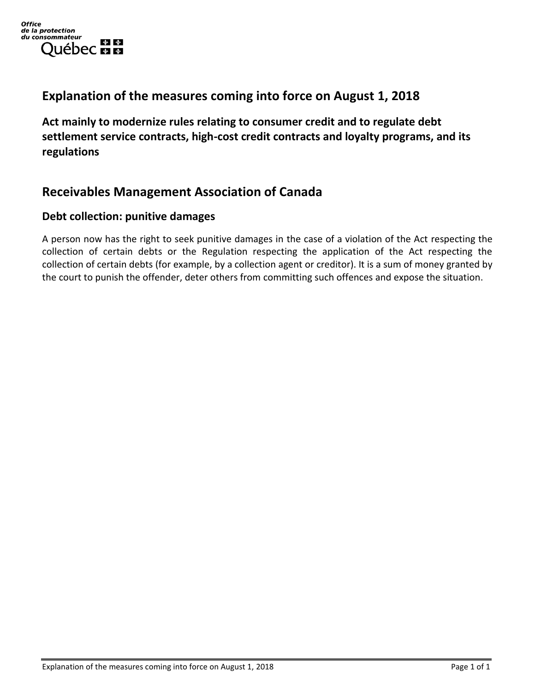## **Explanation of the measures coming into force on August 1, 2018**

**Act mainly to modernize rules relating to consumer credit and to regulate debt settlement service contracts, high-cost credit contracts and loyalty programs, and its regulations**

## **Receivables Management Association of Canada**

#### **Debt collection: punitive damages**

A person now has the right to seek punitive damages in the case of a violation of the Act respecting the collection of certain debts or the Regulation respecting the application of the Act respecting the collection of certain debts (for example, by a collection agent or creditor). It is a sum of money granted by the court to punish the offender, deter others from committing such offences and expose the situation.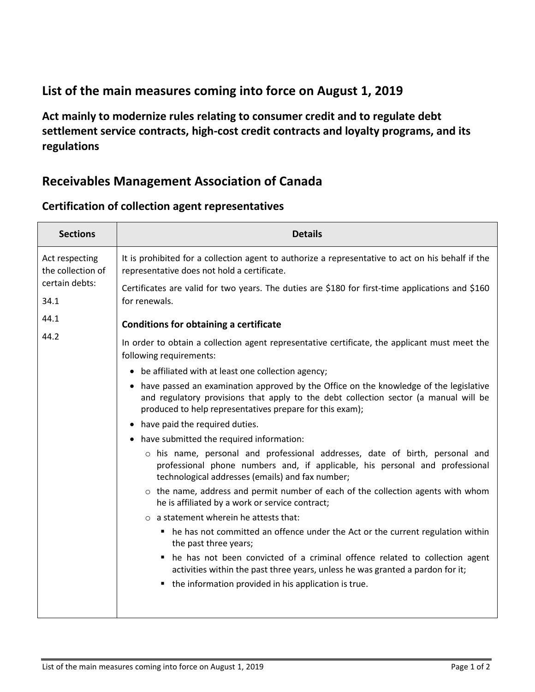# **List of the main measures coming into force on August 1, 2019**

**Act mainly to modernize rules relating to consumer credit and to regulate debt settlement service contracts, high-cost credit contracts and loyalty programs, and its regulations**

## **Receivables Management Association of Canada**

| <b>Sections</b>                                               | <b>Details</b>                                                                                                                                                                                                                              |
|---------------------------------------------------------------|---------------------------------------------------------------------------------------------------------------------------------------------------------------------------------------------------------------------------------------------|
| Act respecting<br>the collection of<br>certain debts:<br>34.1 | It is prohibited for a collection agent to authorize a representative to act on his behalf if the<br>representative does not hold a certificate.                                                                                            |
|                                                               | Certificates are valid for two years. The duties are \$180 for first-time applications and \$160<br>for renewals.                                                                                                                           |
| 44.1                                                          | <b>Conditions for obtaining a certificate</b>                                                                                                                                                                                               |
| 44.2                                                          | In order to obtain a collection agent representative certificate, the applicant must meet the<br>following requirements:                                                                                                                    |
|                                                               | • be affiliated with at least one collection agency;                                                                                                                                                                                        |
|                                                               | • have passed an examination approved by the Office on the knowledge of the legislative<br>and regulatory provisions that apply to the debt collection sector (a manual will be<br>produced to help representatives prepare for this exam); |
|                                                               | • have paid the required duties.                                                                                                                                                                                                            |
|                                                               | • have submitted the required information:                                                                                                                                                                                                  |
|                                                               | o his name, personal and professional addresses, date of birth, personal and<br>professional phone numbers and, if applicable, his personal and professional<br>technological addresses (emails) and fax number;                            |
|                                                               | $\circ$ the name, address and permit number of each of the collection agents with whom<br>he is affiliated by a work or service contract;                                                                                                   |
|                                                               | $\circ$ a statement wherein he attests that:                                                                                                                                                                                                |
|                                                               | • he has not committed an offence under the Act or the current regulation within<br>the past three years;                                                                                                                                   |
|                                                               | he has not been convicted of a criminal offence related to collection agent<br>activities within the past three years, unless he was granted a pardon for it;                                                                               |
|                                                               | • the information provided in his application is true.                                                                                                                                                                                      |
|                                                               |                                                                                                                                                                                                                                             |

### **Certification of collection agent representatives**